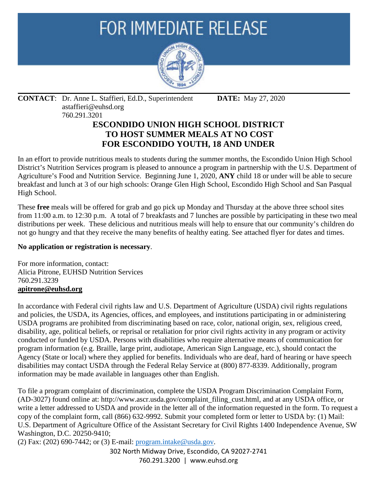# **FOR IMMEDIATE RELEASE**



#### **CONTACT**: Dr. Anne L. Staffieri, Ed.D., Superintendent **DATE:** May 27, 2020 astaffieri@euhsd.org 760.291.3201

## **ESCONDIDO UNION HIGH SCHOOL DISTRICT TO HOST SUMMER MEALS AT NO COST FOR ESCONDIDO YOUTH, 18 AND UNDER**

In an effort to provide nutritious meals to students during the summer months, the Escondido Union High School District's Nutrition Services program is pleased to announce a program in partnership with the U.S. Department of Agriculture's Food and Nutrition Service. Beginning June 1, 2020, **ANY** child 18 or under will be able to secure breakfast and lunch at 3 of our high schools: Orange Glen High School, Escondido High School and San Pasqual High School.

These **free** meals will be offered for grab and go pick up Monday and Thursday at the above three school sites from 11:00 a.m. to 12:30 p.m. A total of 7 breakfasts and 7 lunches are possible by participating in these two meal distributions per week. These delicious and nutritious meals will help to ensure that our community's children do not go hungry and that they receive the many benefits of healthy eating. See attached flyer for dates and times.

### **No application or registration is necessary**.

For more information, contact: Alicia Pitrone, EUHSD Nutrition Services 760.291.3239 **apitrone@euhsd.org**

In accordance with Federal civil rights law and U.S. Department of Agriculture (USDA) civil rights regulations and policies, the USDA, its Agencies, offices, and employees, and institutions participating in or administering USDA programs are prohibited from discriminating based on race, color, national origin, sex, religious creed, disability, age, political beliefs, or reprisal or retaliation for prior civil rights activity in any program or activity conducted or funded by USDA. Persons with disabilities who require alternative means of communication for program information (e.g. Braille, large print, audiotape, American Sign Language, etc.), should contact the Agency (State or local) where they applied for benefits. Individuals who are deaf, hard of hearing or have speech disabilities may contact USDA through the Federal Relay Service at (800) 877-8339. Additionally, program information may be made available in languages other than English.

To file a program complaint of discrimination, complete the USDA Program Discrimination Complaint Form, (AD-3027) found online at: http://www.ascr.usda.gov/complaint\_filing\_cust.html, and at any USDA office, or write a letter addressed to USDA and provide in the letter all of the information requested in the form. To request a copy of the complaint form, call (866) 632-9992. Submit your completed form or letter to USDA by: (1) Mail: U.S. Department of Agriculture Office of the Assistant Secretary for Civil Rights 1400 Independence Avenue, SW Washington, D.C. 20250-9410;

(2) Fax: (202) 690-7442; or (3) E-mail: [program.intake@usda.gov.](mailto:program.intake@usda.gov)

302 North Midway Drive, Escondido, CA 92027-2741 760.291.3200 | www.euhsd.org